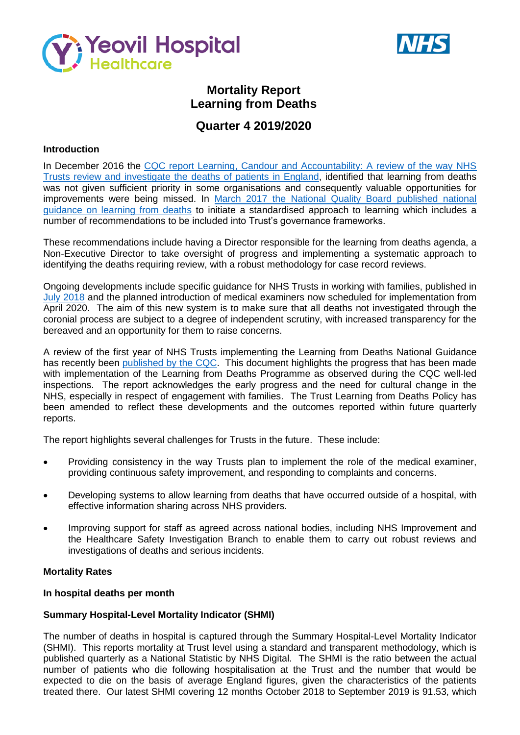



# **Mortality Report Learning from Deaths**

# **Quarter 4 2019/2020**

### **Introduction**

In December 2016 the CQC report Learning, Candour and Accountability: A review of the way NHS [Trusts review and investigate the](https://www.cqc.org.uk/sites/default/files/20161212-learning-candour-accountability-summary.pdf) deaths of patients in England, identified that learning from deaths was not given sufficient priority in some organisations and consequently valuable opportunities for improvements were being missed. In [March 2017 the National Quality Board published national](https://www.england.nhs.uk/wp-content/uploads/2017/03/nqb-national-guidance-learning-from-deaths.pdf)  [guidance on learning from deaths](https://www.england.nhs.uk/wp-content/uploads/2017/03/nqb-national-guidance-learning-from-deaths.pdf) to initiate a standardised approach to learning which includes a number of recommendations to be included into Trust's governance frameworks.

These recommendations include having a Director responsible for the learning from deaths agenda, a Non-Executive Director to take oversight of progress and implementing a systematic approach to identifying the deaths requiring review, with a robust methodology for case record reviews.

Ongoing developments include specific guidance for NHS Trusts in working with families, published in July [2018](https://www.england.nhs.uk/wp-content/uploads/2018/08/learning-from-deaths-working-with-families-v2.pdf) and the planned introduction of medical examiners now scheduled for implementation from April 2020. The aim of this new system is to make sure that all deaths not investigated through the coronial process are subject to a degree of independent scrutiny, with increased transparency for the bereaved and an opportunity for them to raise concerns.

A review of the first year of NHS Trusts implementing the Learning from Deaths National Guidance has recently been [published by the CQC.](https://www.cqc.org.uk/publications/themed-work/learning-deaths) This document highlights the progress that has been made with implementation of the Learning from Deaths Programme as observed during the CQC well-led inspections. The report acknowledges the early progress and the need for cultural change in the NHS, especially in respect of engagement with families. The Trust Learning from Deaths Policy has been amended to reflect these developments and the outcomes reported within future quarterly reports.

The report highlights several challenges for Trusts in the future. These include:

- Providing consistency in the way Trusts plan to implement the role of the medical examiner, providing continuous safety improvement, and responding to complaints and concerns.
- Developing systems to allow learning from deaths that have occurred outside of a hospital, with effective information sharing across NHS providers.
- Improving support for staff as agreed across national bodies, including NHS Improvement and the Healthcare Safety Investigation Branch to enable them to carry out robust reviews and investigations of deaths and serious incidents.

#### **Mortality Rates**

#### **In hospital deaths per month**

#### **Summary Hospital-Level Mortality Indicator (SHMI)**

The number of deaths in hospital is captured through the Summary Hospital-Level Mortality Indicator (SHMI). This reports mortality at Trust level using a standard and transparent methodology, which is published quarterly as a National Statistic by NHS Digital. The SHMI is the ratio between the actual number of patients who die following hospitalisation at the Trust and the number that would be expected to die on the basis of average England figures, given the characteristics of the patients treated there. Our latest SHMI covering 12 months October 2018 to September 2019 is 91.53, which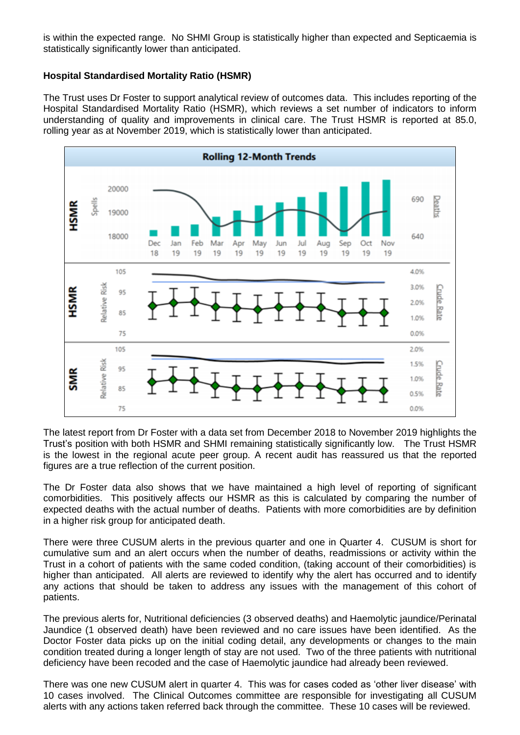is within the expected range. No SHMI Group is statistically higher than expected and Septicaemia is statistically significantly lower than anticipated.

### **Hospital Standardised Mortality Ratio (HSMR)**

The Trust uses Dr Foster to support analytical review of outcomes data. This includes reporting of the Hospital Standardised Mortality Ratio (HSMR), which reviews a set number of indicators to inform understanding of quality and improvements in clinical care. The Trust HSMR is reported at 85.0, rolling year as at November 2019, which is statistically lower than anticipated.



The latest report from Dr Foster with a data set from December 2018 to November 2019 highlights the Trust's position with both HSMR and SHMI remaining statistically significantly low. The Trust HSMR is the lowest in the regional acute peer group. A recent audit has reassured us that the reported figures are a true reflection of the current position.

The Dr Foster data also shows that we have maintained a high level of reporting of significant comorbidities. This positively affects our HSMR as this is calculated by comparing the number of expected deaths with the actual number of deaths. Patients with more comorbidities are by definition in a higher risk group for anticipated death.

There were three CUSUM alerts in the previous quarter and one in Quarter 4. CUSUM is short for cumulative sum and an alert occurs when the number of deaths, readmissions or activity within the Trust in a cohort of patients with the same coded condition, (taking account of their comorbidities) is higher than anticipated. All alerts are reviewed to identify why the alert has occurred and to identify any actions that should be taken to address any issues with the management of this cohort of patients.

The previous alerts for, Nutritional deficiencies (3 observed deaths) and Haemolytic jaundice/Perinatal Jaundice (1 observed death) have been reviewed and no care issues have been identified. As the Doctor Foster data picks up on the initial coding detail, any developments or changes to the main condition treated during a longer length of stay are not used. Two of the three patients with nutritional deficiency have been recoded and the case of Haemolytic jaundice had already been reviewed.

There was one new CUSUM alert in quarter 4. This was for cases coded as 'other liver disease' with 10 cases involved. The Clinical Outcomes committee are responsible for investigating all CUSUM alerts with any actions taken referred back through the committee. These 10 cases will be reviewed.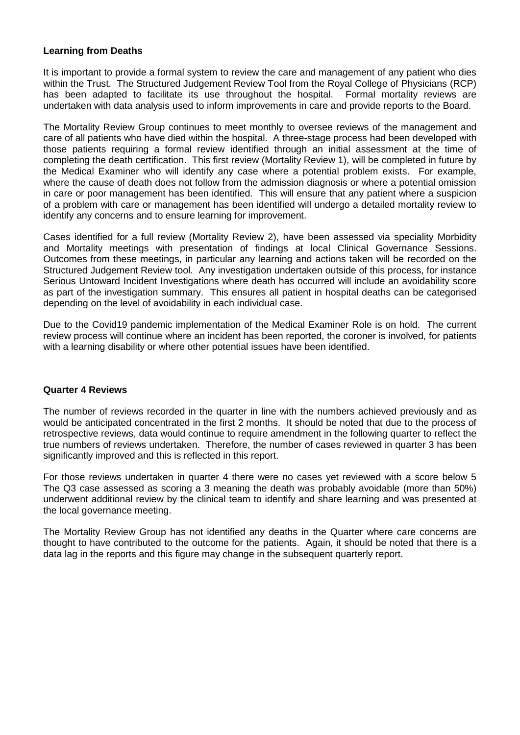### **Learning from Deaths**

It is important to provide a formal system to review the care and management of any patient who dies within the Trust. The Structured Judgement Review Tool from the Royal College of Physicians (RCP) has been adapted to facilitate its use throughout the hospital. Formal mortality reviews are undertaken with data analysis used to inform improvements in care and provide reports to the Board.

The Mortality Review Group continues to meet monthly to oversee reviews of the management and care of all patients who have died within the hospital. A three-stage process had been developed with those patients requiring a formal review identified through an initial assessment at the time of completing the death certification. This first review (Mortality Review 1), will be completed in future by the Medical Examiner who will identify any case where a potential problem exists. For example, where the cause of death does not follow from the admission diagnosis or where a potential omission in care or poor management has been identified. This will ensure that any patient where a suspicion of a problem with care or management has been identified will undergo a detailed mortality review to identify any concerns and to ensure learning for improvement.

Cases identified for a full review (Mortality Review 2), have been assessed via speciality Morbidity and Mortality meetings with presentation of findings at local Clinical Governance Sessions. Outcomes from these meetings, in particular any learning and actions taken will be recorded on the Structured Judgement Review tool. Any investigation undertaken outside of this process, for instance Serious Untoward Incident Investigations where death has occurred will include an avoidability score as part of the investigation summary. This ensures all patient in hospital deaths can be categorised depending on the level of avoidability in each individual case.

Due to the Covid19 pandemic implementation of the Medical Examiner Role is on hold. The current review process will continue where an incident has been reported, the coroner is involved, for patients with a learning disability or where other potential issues have been identified.

#### **Quarter 4 Reviews**

The number of reviews recorded in the quarter in line with the numbers achieved previously and as would be anticipated concentrated in the first 2 months. It should be noted that due to the process of retrospective reviews, data would continue to require amendment in the following quarter to reflect the true numbers of reviews undertaken. Therefore, the number of cases reviewed in quarter 3 has been significantly improved and this is reflected in this report.

For those reviews undertaken in quarter 4 there were no cases yet reviewed with a score below 5 The Q3 case assessed as scoring a 3 meaning the death was probably avoidable (more than 50%) underwent additional review by the clinical team to identify and share learning and was presented at the local governance meeting.

The Mortality Review Group has not identified any deaths in the Quarter where care concerns are thought to have contributed to the outcome for the patients. Again, it should be noted that there is a data lag in the reports and this figure may change in the subsequent quarterly report.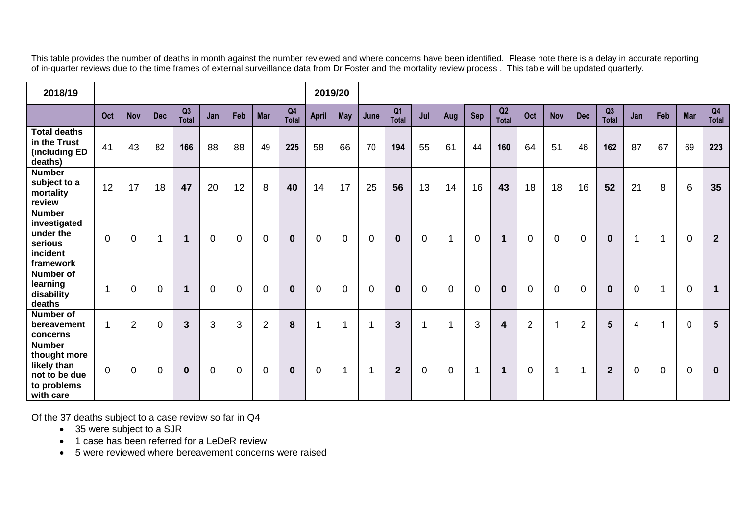This table provides the number of deaths in month against the number reviewed and where concerns have been identified. Please note there is a delay in accurate reporting of in-quarter reviews due to the time frames of external surveillance data from Dr Foster and the mortality review process . This table will be updated quarterly.

| 2018/19                                                                                   |                |                |             |                    |             |                |                |                    |              | 2019/20     |                |                         |             |                         |             |                         |                |                |                |                    |             |             |             |                    |
|-------------------------------------------------------------------------------------------|----------------|----------------|-------------|--------------------|-------------|----------------|----------------|--------------------|--------------|-------------|----------------|-------------------------|-------------|-------------------------|-------------|-------------------------|----------------|----------------|----------------|--------------------|-------------|-------------|-------------|--------------------|
|                                                                                           | Oct            | <b>Nov</b>     | <b>Dec</b>  | Q3<br><b>Total</b> | Jan         | Feb            | <b>Mar</b>     | Q4<br><b>Total</b> | <b>April</b> | <b>May</b>  | June           | Q <sub>1</sub><br>Total | Jul         | Aug                     | Sep         | Q2<br><b>Total</b>      | Oct            | <b>Nov</b>     | <b>Dec</b>     | Q3<br><b>Total</b> | Jan         | Feb         | <b>Mar</b>  | Q4<br><b>Total</b> |
| <b>Total deaths</b><br>in the Trust<br>(including ED<br>deaths)                           | 41             | 43             | 82          | 166                | 88          | 88             | 49             | 225                | 58           | 66          | 70             | 194                     | 55          | 61                      | 44          | 160                     | 64             | 51             | 46             | 162                | 87          | 67          | 69          | 223                |
| <b>Number</b><br>subject to a<br>mortality<br>review                                      | 12             | 17             | 18          | 47                 | 20          | 12             | 8              | 40                 | 14           | 17          | 25             | 56                      | 13          | 14                      | 16          | 43                      | 18             | 18             | 16             | 52                 | 21          | 8           | 6           | 35                 |
| <b>Number</b><br>investigated<br>under the<br>serious<br>incident<br>framework            | $\Omega$       | $\mathbf 0$    | 1           | $\mathbf 1$        | $\Omega$    | $\overline{0}$ | $\mathbf 0$    | $\mathbf 0$        | $\mathbf 0$  | $\mathbf 0$ | $\mathbf 0$    | $\mathbf 0$             | $\mathbf 0$ | $\overline{\mathbf{A}}$ | $\mathbf 0$ | 1                       | $\Omega$       | $\mathbf 0$    | $\mathbf 0$    | $\mathbf 0$        | 1           | 1           | $\mathbf 0$ | 2 <sup>2</sup>     |
| <b>Number of</b><br>learning<br>disability<br>deaths                                      | $\mathbf 1$    | $\mathbf 0$    | $\mathbf 0$ | 1                  | $\Omega$    | $\mathbf 0$    | $\overline{0}$ | $\mathbf 0$        | 0            | $\mathbf 0$ | $\overline{0}$ | $\bf{0}$                | $\mathbf 0$ | $\mathbf 0$             | $\mathbf 0$ | $\bf{0}$                | $\overline{0}$ | $\mathbf 0$    | $\overline{0}$ | $\bf{0}$           | $\mathbf 0$ | -1          | $\mathbf 0$ | $\mathbf 1$        |
| <b>Number of</b><br>bereavement<br>concerns                                               | $\mathbf 1$    | $\overline{2}$ | $\mathbf 0$ | $\mathbf{3}$       | 3           | 3              | $\overline{2}$ | 8                  |              | 1           |                | 3                       | 1           | 1                       | 3           | $\overline{\mathbf{4}}$ | $\overline{2}$ | $\overline{1}$ | $\overline{2}$ | $5\phantom{.0}$    | 4           |             | 0           | 5 <sup>5</sup>     |
| <b>Number</b><br>thought more<br>likely than<br>not to be due<br>to problems<br>with care | $\overline{0}$ | $\mathbf 0$    | $\mathbf 0$ | $\mathbf 0$        | $\mathbf 0$ | $\mathbf 0$    | $\mathbf 0$    | $\bf{0}$           | $\mathbf 0$  | $\mathbf 1$ | 1              | $\overline{2}$          | $\mathbf 0$ | $\overline{0}$          | -1          | 1                       | $\overline{0}$ | $\mathbf{1}$   | $\mathbf{1}$   | $\mathbf{2}$       | 0           | $\mathbf 0$ | $\mathbf 0$ | $\mathbf 0$        |

Of the 37 deaths subject to a case review so far in Q4

- 35 were subject to a SJR
- 1 case has been referred for a LeDeR review
- 5 were reviewed where bereavement concerns were raised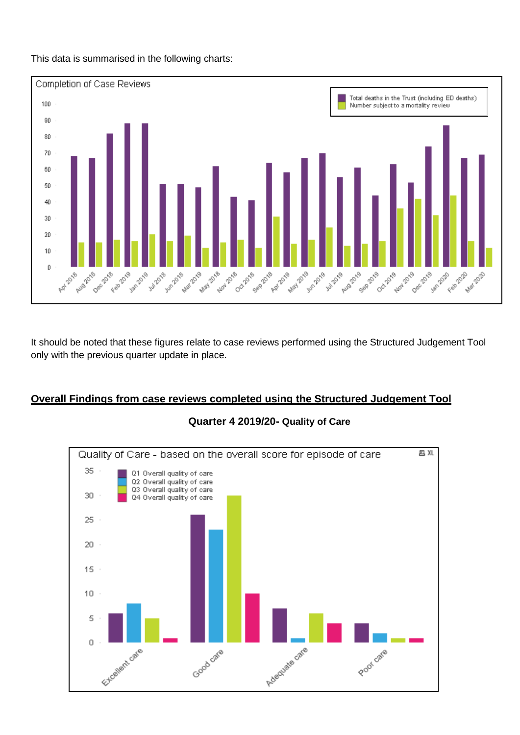

This data is summarised in the following charts:

It should be noted that these figures relate to case reviews performed using the Structured Judgement Tool only with the previous quarter update in place.

# **Overall Findings from case reviews completed using the Structured Judgement Tool**



# **Quarter 4 2019/20- Quality of Care**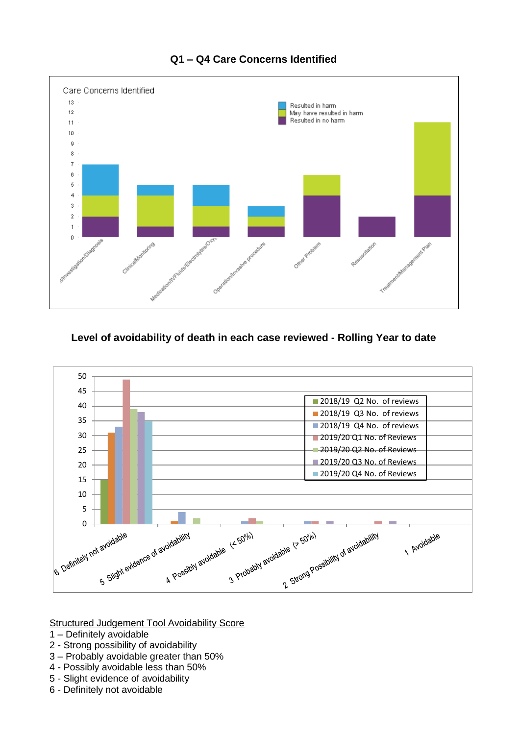

# **Q1 – Q4 Care Concerns Identified**

# **Level of avoidability of death in each case reviewed - Rolling Year to date**



Structured Judgement Tool Avoidability Score

- 1 Definitely avoidable
- 2 Strong possibility of avoidability
- 3 Probably avoidable greater than 50%
- 4 Possibly avoidable less than 50%
- 5 Slight evidence of avoidability
- 6 Definitely not avoidable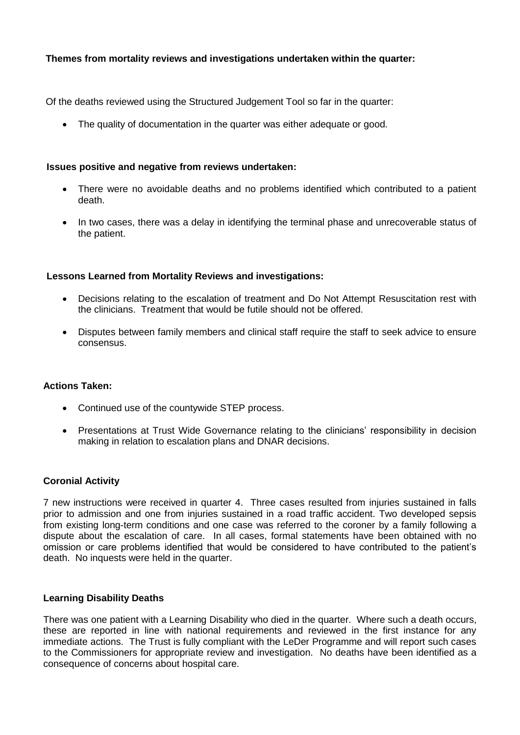### **Themes from mortality reviews and investigations undertaken within the quarter:**

Of the deaths reviewed using the Structured Judgement Tool so far in the quarter:

• The quality of documentation in the quarter was either adequate or good.

### **Issues positive and negative from reviews undertaken:**

- There were no avoidable deaths and no problems identified which contributed to a patient death.
- In two cases, there was a delay in identifying the terminal phase and unrecoverable status of the patient.

### **Lessons Learned from Mortality Reviews and investigations:**

- Decisions relating to the escalation of treatment and Do Not Attempt Resuscitation rest with the clinicians. Treatment that would be futile should not be offered.
- Disputes between family members and clinical staff require the staff to seek advice to ensure consensus.

### **Actions Taken:**

- Continued use of the countywide STEP process.
- Presentations at Trust Wide Governance relating to the clinicians' responsibility in decision making in relation to escalation plans and DNAR decisions.

### **Coronial Activity**

7 new instructions were received in quarter 4. Three cases resulted from injuries sustained in falls prior to admission and one from injuries sustained in a road traffic accident. Two developed sepsis from existing long-term conditions and one case was referred to the coroner by a family following a dispute about the escalation of care. In all cases, formal statements have been obtained with no omission or care problems identified that would be considered to have contributed to the patient's death. No inquests were held in the quarter.

#### **Learning Disability Deaths**

There was one patient with a Learning Disability who died in the quarter. Where such a death occurs, these are reported in line with national requirements and reviewed in the first instance for any immediate actions. The Trust is fully compliant with the LeDer Programme and will report such cases to the Commissioners for appropriate review and investigation. No deaths have been identified as a consequence of concerns about hospital care.